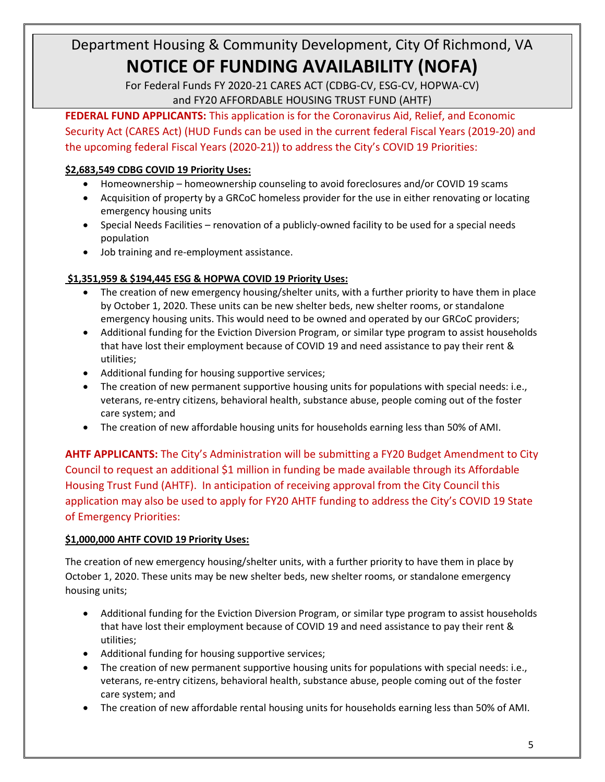For Federal Funds FY 2020-21 CARES ACT (CDBG-CV, ESG-CV, HOPWA-CV) and FY20 AFFORDABLE HOUSING TRUST FUND (AHTF)

**FEDERAL FUND APPLICANTS:** This application is for the Coronavirus Aid, Relief, and Economic Security Act (CARES Act) (HUD Funds can be used in the current federal Fiscal Years (2019-20) and the upcoming federal Fiscal Years (2020-21)) to address the City's COVID 19 Priorities:

### **\$2,683,549 CDBG COVID 19 Priority Uses:**

- Homeownership homeownership counseling to avoid foreclosures and/or COVID 19 scams
- Acquisition of property by a GRCoC homeless provider for the use in either renovating or locating emergency housing units
- Special Needs Facilities renovation of a publicly-owned facility to be used for a special needs population
- Job training and re-employment assistance.

### **\$1,351,959 & \$194,445 ESG & HOPWA COVID 19 Priority Uses:**

- The creation of new emergency housing/shelter units, with a further priority to have them in place by October 1, 2020. These units can be new shelter beds, new shelter rooms, or standalone emergency housing units. This would need to be owned and operated by our GRCoC providers;
- Additional funding for the Eviction Diversion Program, or similar type program to assist households that have lost their employment because of COVID 19 and need assistance to pay their rent & utilities;
- Additional funding for housing supportive services;
- The creation of new permanent supportive housing units for populations with special needs: i.e., veterans, re-entry citizens, behavioral health, substance abuse, people coming out of the foster care system; and
- The creation of new affordable housing units for households earning less than 50% of AMI.

**AHTF APPLICANTS:** The City's Administration will be submitting a FY20 Budget Amendment to City Council to request an additional \$1 million in funding be made available through its Affordable Housing Trust Fund (AHTF). In anticipation of receiving approval from the City Council this application may also be used to apply for FY20 AHTF funding to address the City's COVID 19 State of Emergency Priorities:

### **\$1,000,000 AHTF COVID 19 Priority Uses:**

The creation of new emergency housing/shelter units, with a further priority to have them in place by October 1, 2020. These units may be new shelter beds, new shelter rooms, or standalone emergency housing units;

- Additional funding for the Eviction Diversion Program, or similar type program to assist households that have lost their employment because of COVID 19 and need assistance to pay their rent & utilities;
- Additional funding for housing supportive services;
- The creation of new permanent supportive housing units for populations with special needs: i.e., veterans, re-entry citizens, behavioral health, substance abuse, people coming out of the foster care system; and
- The creation of new affordable rental housing units for households earning less than 50% of AMI.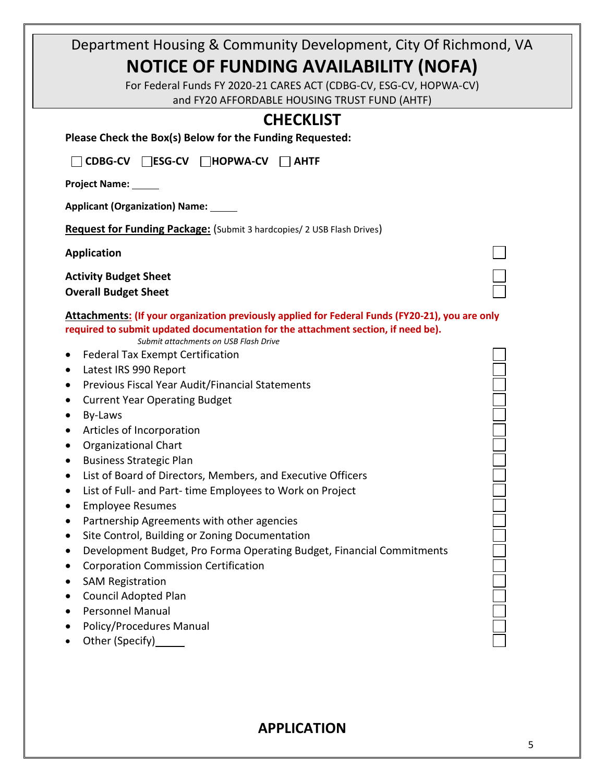| Department Housing & Community Development, City Of Richmond, VA                                                                                                                                                              |  |
|-------------------------------------------------------------------------------------------------------------------------------------------------------------------------------------------------------------------------------|--|
| <b>NOTICE OF FUNDING AVAILABILITY (NOFA)</b>                                                                                                                                                                                  |  |
| For Federal Funds FY 2020-21 CARES ACT (CDBG-CV, ESG-CV, HOPWA-CV)                                                                                                                                                            |  |
| and FY20 AFFORDABLE HOUSING TRUST FUND (AHTF)                                                                                                                                                                                 |  |
|                                                                                                                                                                                                                               |  |
| <b>CHECKLIST</b><br>Please Check the Box(s) Below for the Funding Requested:                                                                                                                                                  |  |
| CDBG-CV ESG-CV HOPWA-CV AHTF                                                                                                                                                                                                  |  |
| Project Name: ______                                                                                                                                                                                                          |  |
| Applicant (Organization) Name: _____                                                                                                                                                                                          |  |
| Request for Funding Package: (Submit 3 hardcopies/ 2 USB Flash Drives)                                                                                                                                                        |  |
| <b>Application</b>                                                                                                                                                                                                            |  |
| <b>Activity Budget Sheet</b>                                                                                                                                                                                                  |  |
| <b>Overall Budget Sheet</b>                                                                                                                                                                                                   |  |
| Attachments: (If your organization previously applied for Federal Funds (FY20-21), you are only<br>required to submit updated documentation for the attachment section, if need be).<br>Submit attachments on USB Flash Drive |  |
| <b>Federal Tax Exempt Certification</b><br>$\bullet$                                                                                                                                                                          |  |
| Latest IRS 990 Report<br>$\bullet$                                                                                                                                                                                            |  |
| Previous Fiscal Year Audit/Financial Statements<br>$\bullet$                                                                                                                                                                  |  |
| <b>Current Year Operating Budget</b><br>٠                                                                                                                                                                                     |  |
| By-Laws<br>$\bullet$                                                                                                                                                                                                          |  |
| Articles of Incorporation                                                                                                                                                                                                     |  |
| <b>Organizational Chart</b>                                                                                                                                                                                                   |  |
| <b>Business Strategic Plan</b>                                                                                                                                                                                                |  |
| List of Board of Directors, Members, and Executive Officers                                                                                                                                                                   |  |
| List of Full- and Part- time Employees to Work on Project<br>$\bullet$                                                                                                                                                        |  |
| <b>Employee Resumes</b>                                                                                                                                                                                                       |  |
| Partnership Agreements with other agencies                                                                                                                                                                                    |  |
| Site Control, Building or Zoning Documentation                                                                                                                                                                                |  |
| Development Budget, Pro Forma Operating Budget, Financial Commitments                                                                                                                                                         |  |
| <b>Corporation Commission Certification</b><br>$\bullet$                                                                                                                                                                      |  |
| <b>SAM Registration</b>                                                                                                                                                                                                       |  |
| Council Adopted Plan                                                                                                                                                                                                          |  |
| <b>Personnel Manual</b>                                                                                                                                                                                                       |  |
| Policy/Procedures Manual                                                                                                                                                                                                      |  |
| Other (Specify)______                                                                                                                                                                                                         |  |

## **APPLICATION**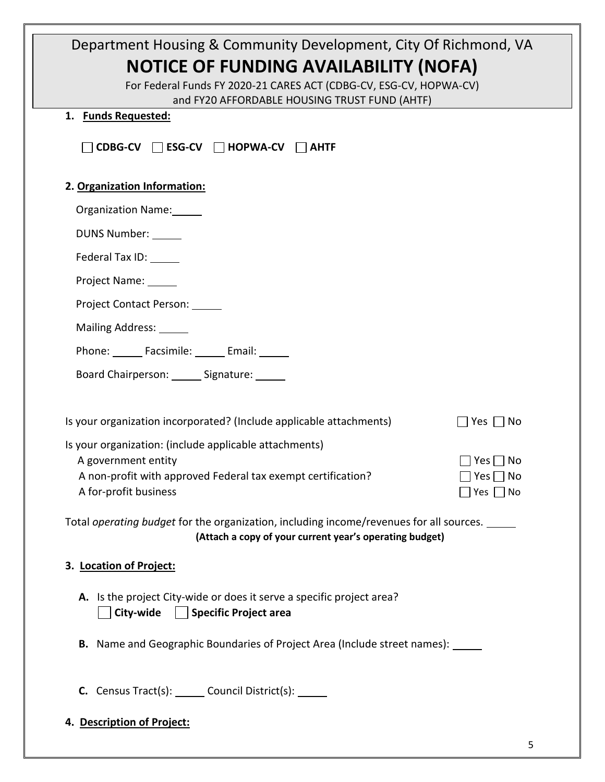| Department Housing & Community Development, City Of Richmond, VA                               |                                       |
|------------------------------------------------------------------------------------------------|---------------------------------------|
| <b>NOTICE OF FUNDING AVAILABILITY (NOFA)</b>                                                   |                                       |
| For Federal Funds FY 2020-21 CARES ACT (CDBG-CV, ESG-CV, HOPWA-CV)                             |                                       |
| and FY20 AFFORDABLE HOUSING TRUST FUND (AHTF)<br>1. Funds Requested:                           |                                       |
|                                                                                                |                                       |
| $\Box$ CDBG-CV $\Box$ ESG-CV $\Box$ HOPWA-CV $\Box$ AHTF                                       |                                       |
| 2. Organization Information:                                                                   |                                       |
| Organization Name:                                                                             |                                       |
| DUNS Number: ______                                                                            |                                       |
| Federal Tax ID:                                                                                |                                       |
| Project Name: _____                                                                            |                                       |
| Project Contact Person: _____                                                                  |                                       |
| Mailing Address: ______                                                                        |                                       |
| Phone: Facsimile: Email: Phone:                                                                |                                       |
| Board Chairperson: _______ Signature: ______                                                   |                                       |
|                                                                                                |                                       |
| Is your organization incorporated? (Include applicable attachments)                            | Yes   No                              |
| Is your organization: (include applicable attachments)                                         |                                       |
| A government entity<br>A non-profit with approved Federal tax exempt certification?            | $Yes \Box No$<br>$\Box$ Yes $\Box$ No |
| A for-profit business                                                                          | Yes $\Box$ No                         |
| Total <i>operating budget</i> for the organization, including income/revenues for all sources. |                                       |
| (Attach a copy of your current year's operating budget)                                        |                                       |
| 3. Location of Project:                                                                        |                                       |
| A. Is the project City-wide or does it serve a specific project area?                          |                                       |
| City-wide   Specific Project area                                                              |                                       |
| <b>B.</b> Name and Geographic Boundaries of Project Area (Include street names): _____         |                                       |
| C. Census Tract(s): _______ Council District(s): ______                                        |                                       |
| 4. Description of Project:                                                                     |                                       |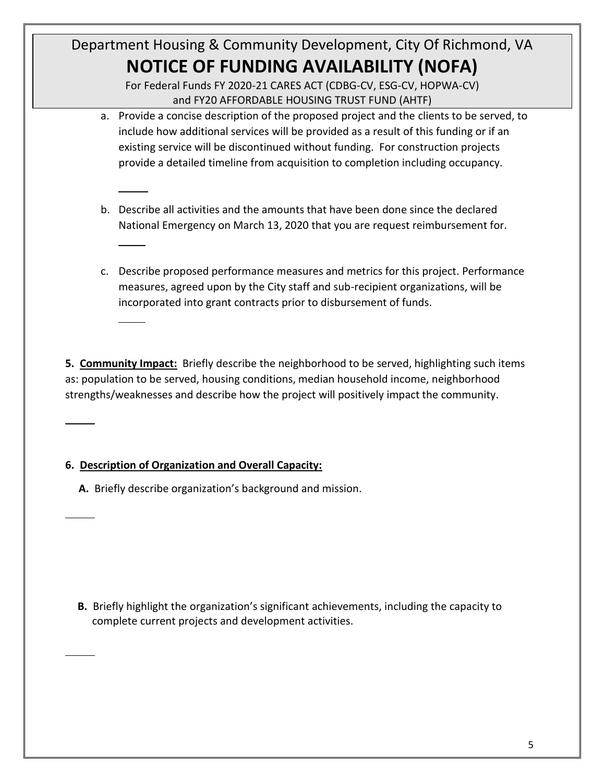For Federal Funds FY 2020-21 CARES ACT (CDBG-CV, ESG-CV, HOPWA-CV) and FY20 AFFORDABLE HOUSING TRUST FUND (AHTF)

- a. Provide a concise description of the proposed project and the clients to be served, to include how additional services will be provided as a result of this funding or if an existing service will be discontinued without funding. For construction projects provide a detailed timeline from acquisition to completion including occupancy.
- b. Describe all activities and the amounts that have been done since the declared National Emergency on March 13, 2020 that you are request reimbursement for.
- c. Describe proposed performance measures and metrics for this project. Performance measures, agreed upon by the City staff and sub-recipient organizations, will be incorporated into grant contracts prior to disbursement of funds.

**5. Community Impact:** Briefly describe the neighborhood to be served, highlighting such items as: population to be served, housing conditions, median household income, neighborhood strengths/weaknesses and describe how the project will positively impact the community.

## **6. Description of Organization and Overall Capacity:**

**A.** Briefly describe organization's background and mission.

 **B.** Briefly highlight the organization's significant achievements, including the capacity to complete current projects and development activities.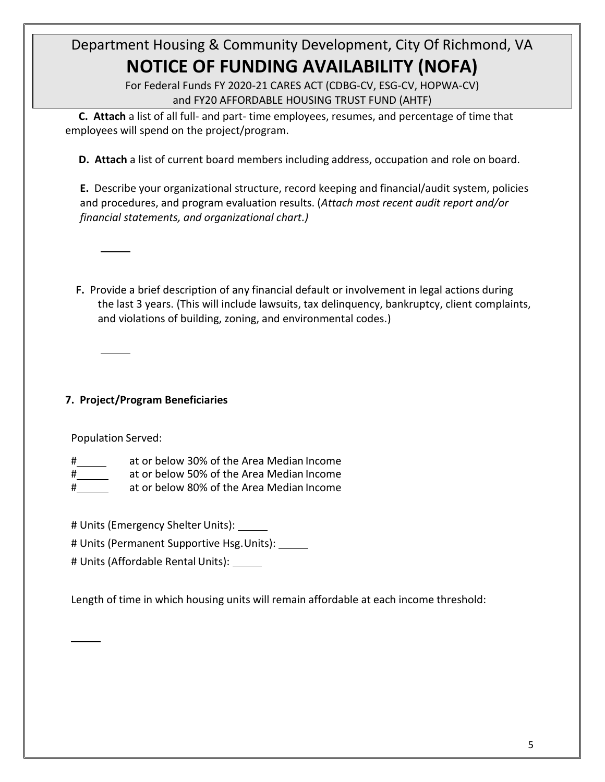> For Federal Funds FY 2020-21 CARES ACT (CDBG-CV, ESG-CV, HOPWA-CV) and FY20 AFFORDABLE HOUSING TRUST FUND (AHTF)

 **C. Attach** a list of all full- and part- time employees, resumes, and percentage of time that employees will spend on the project/program.

**D. Attach** a list of current board members including address, occupation and role on board.

**E.** Describe your organizational structure, record keeping and financial/audit system, policies and procedures, and program evaluation results. (*Attach most recent audit report and/or financial statements, and organizational chart.)*

 **F.** Provide a brief description of any financial default or involvement in legal actions during the last 3 years. (This will include lawsuits, tax delinquency, bankruptcy, client complaints, and violations of building, zoning, and environmental codes.)

## **7. Project/Program Beneficiaries**

Population Served:

- at or below 30% of the Area Median Income
- at or below 50% of the Area Median Income
- at or below 80% of the Area Median Income

# Units (Emergency Shelter Units):

# Units (Permanent Supportive Hsg. Units):

# Units (Affordable Rental Units):

Length of time in which housing units will remain affordable at each income threshold: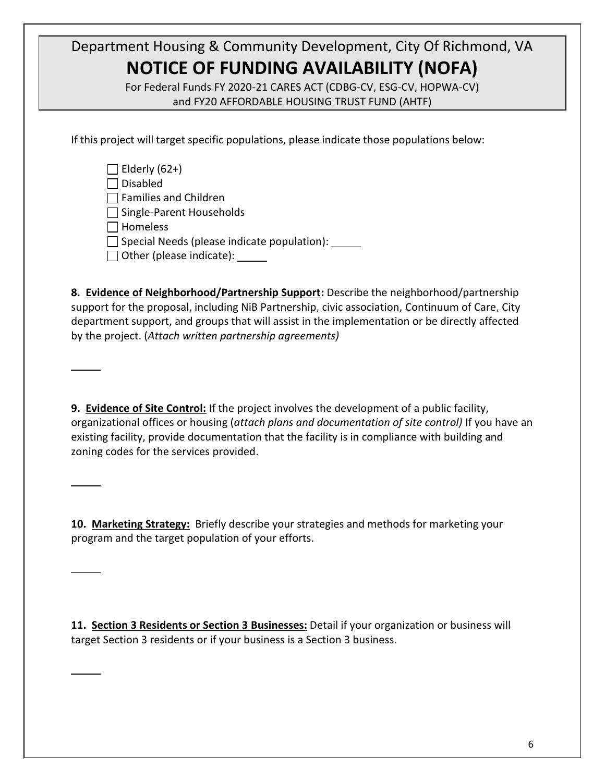For Federal Funds FY 2020-21 CARES ACT (CDBG-CV, ESG-CV, HOPWA-CV) and FY20 AFFORDABLE HOUSING TRUST FUND (AHTF)

If this project will target specific populations, please indicate those populations below:

| $\Box$ Elderly (62+)                               |
|----------------------------------------------------|
| $\Box$ Disabled                                    |
| $\Box$ Families and Children                       |
| $\Box$ Single-Parent Households                    |
| $\Box$ Homeless                                    |
| $\Box$ Special Needs (please indicate population): |
| $\Box$ Other (please indicate):                    |

**8. Evidence of Neighborhood/Partnership Support:** Describe the neighborhood/partnership support for the proposal, including NiB Partnership, civic association, Continuum of Care, City department support, and groups that will assist in the implementation or be directly affected by the project. (*Attach written partnership agreements)*

**9. Evidence of Site Control:** If the project involves the development of a public facility, organizational offices or housing (*attach plans and documentation of site control)* If you have an existing facility, provide documentation that the facility is in compliance with building and zoning codes for the services provided.

**10. Marketing Strategy:** Briefly describe your strategies and methods for marketing your program and the target population of your efforts.

**11. Section 3 Residents or Section 3 Businesses:** Detail if your organization or business will target Section 3 residents or if your business is a Section 3 business.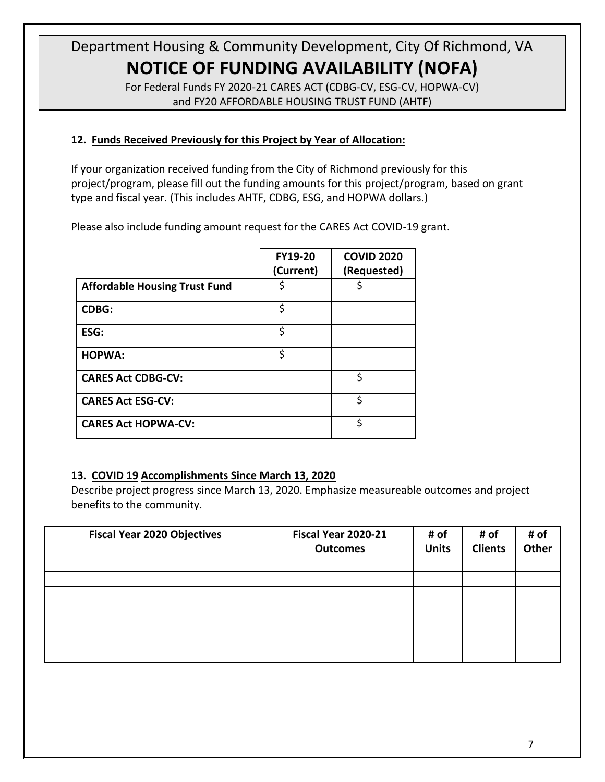For Federal Funds FY 2020-21 CARES ACT (CDBG-CV, ESG-CV, HOPWA-CV) and FY20 AFFORDABLE HOUSING TRUST FUND (AHTF)

### **12. Funds Received Previously for this Project by Year of Allocation:**

If your organization received funding from the City of Richmond previously for this project/program, please fill out the funding amounts for this project/program, based on grant type and fiscal year. (This includes AHTF, CDBG, ESG, and HOPWA dollars.)

Please also include funding amount request for the CARES Act COVID-19 grant.

|                                      | <b>FY19-20</b><br>(Current) | <b>COVID 2020</b><br>(Requested) |
|--------------------------------------|-----------------------------|----------------------------------|
| <b>Affordable Housing Trust Fund</b> | S                           |                                  |
| <b>CDBG:</b>                         | \$                          |                                  |
| ESG:                                 | \$                          |                                  |
| <b>HOPWA:</b>                        | \$                          |                                  |
| <b>CARES Act CDBG-CV:</b>            |                             | \$                               |
| <b>CARES Act ESG-CV:</b>             |                             | \$                               |
| <b>CARES Act HOPWA-CV:</b>           |                             | ሩ                                |

### **13. COVID 19 Accomplishments Since March 13, 2020**

Describe project progress since March 13, 2020. Emphasize measureable outcomes and project benefits to the community.

| <b>Fiscal Year 2020 Objectives</b> | Fiscal Year 2020-21<br><b>Outcomes</b> | # of<br><b>Units</b> | # of<br><b>Clients</b> | # of<br><b>Other</b> |
|------------------------------------|----------------------------------------|----------------------|------------------------|----------------------|
|                                    |                                        |                      |                        |                      |
|                                    |                                        |                      |                        |                      |
|                                    |                                        |                      |                        |                      |
|                                    |                                        |                      |                        |                      |
|                                    |                                        |                      |                        |                      |
|                                    |                                        |                      |                        |                      |
|                                    |                                        |                      |                        |                      |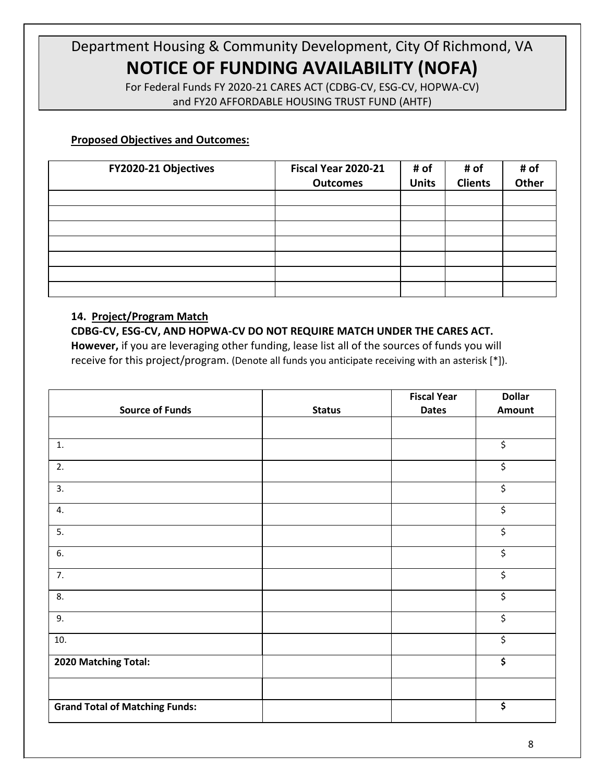> For Federal Funds FY 2020-21 CARES ACT (CDBG-CV, ESG-CV, HOPWA-CV) and FY20 AFFORDABLE HOUSING TRUST FUND (AHTF)

#### **Proposed Objectives and Outcomes:**

| FY2020-21 Objectives | Fiscal Year 2020-21<br><b>Outcomes</b> | # of<br><b>Units</b> | # of<br><b>Clients</b> | # of<br>Other |
|----------------------|----------------------------------------|----------------------|------------------------|---------------|
|                      |                                        |                      |                        |               |
|                      |                                        |                      |                        |               |
|                      |                                        |                      |                        |               |
|                      |                                        |                      |                        |               |
|                      |                                        |                      |                        |               |
|                      |                                        |                      |                        |               |
|                      |                                        |                      |                        |               |

#### **14. Project/Program Match**

#### **CDBG-CV, ESG-CV, AND HOPWA-CV DO NOT REQUIRE MATCH UNDER THE CARES ACT.**

**However,** if you are leveraging other funding, lease list all of the sources of funds you will receive for this project/program. (Denote all funds you anticipate receiving with an asterisk [\*]).

|                                       |               | <b>Fiscal Year</b> | <b>Dollar</b>            |
|---------------------------------------|---------------|--------------------|--------------------------|
| <b>Source of Funds</b>                | <b>Status</b> | <b>Dates</b>       | Amount                   |
|                                       |               |                    |                          |
| 1.                                    |               |                    | $\overline{\mathcal{L}}$ |
| 2.                                    |               |                    | \$                       |
| 3.                                    |               |                    | \$                       |
| 4.                                    |               |                    | \$                       |
| 5.                                    |               |                    | \$                       |
| 6.                                    |               |                    | $\overline{\mathcal{S}}$ |
| 7.                                    |               |                    | \$                       |
| 8.                                    |               |                    | $\overline{\mathcal{L}}$ |
| 9.                                    |               |                    | \$                       |
| 10.                                   |               |                    | \$                       |
| 2020 Matching Total:                  |               |                    | \$                       |
|                                       |               |                    |                          |
| <b>Grand Total of Matching Funds:</b> |               |                    | \$                       |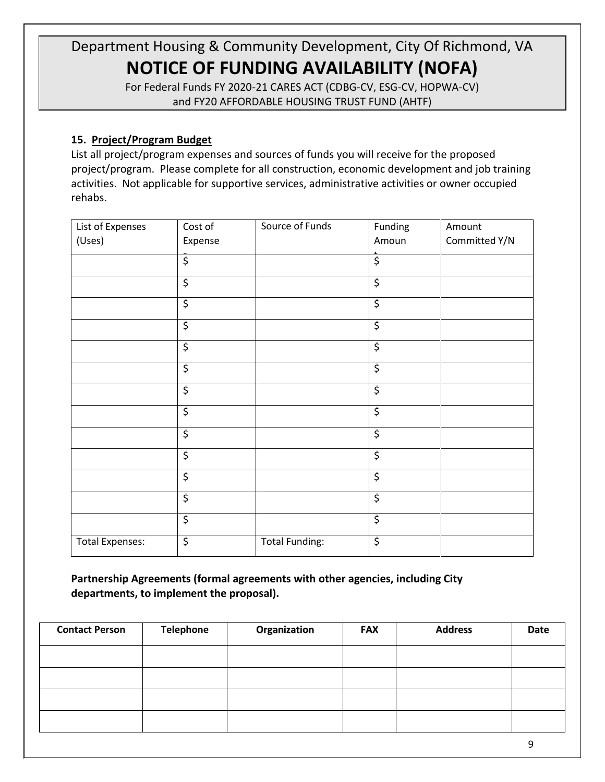For Federal Funds FY 2020-21 CARES ACT (CDBG-CV, ESG-CV, HOPWA-CV) and FY20 AFFORDABLE HOUSING TRUST FUND (AHTF)

### **15. Project/Program Budget**

List all project/program expenses and sources of funds you will receive for the proposed project/program. Please complete for all construction, economic development and job training activities. Not applicable for supportive services, administrative activities or owner occupied rehabs.

| List of Expenses       | Cost of                  | Source of Funds       | Funding                  | Amount        |
|------------------------|--------------------------|-----------------------|--------------------------|---------------|
| (Uses)                 | Expense                  |                       | Amoun                    | Committed Y/N |
|                        | \$                       |                       | $\overline{\mathcal{S}}$ |               |
|                        | $\overline{\mathcal{S}}$ |                       | $\overline{\varsigma}$   |               |
|                        | $\overline{\xi}$         |                       | $\overline{\mathcal{S}}$ |               |
|                        | \$                       |                       | $\overline{\xi}$         |               |
|                        | \$                       |                       | $\overline{\mathcal{S}}$ |               |
|                        | \$                       |                       | $\overline{\xi}$         |               |
|                        | $\overline{\xi}$         |                       | $\overline{\xi}$         |               |
|                        | $\overline{\xi}$         |                       | $\overline{\xi}$         |               |
|                        | \$                       |                       | \$                       |               |
|                        | $\overline{\mathcal{S}}$ |                       | $\overline{\mathcal{S}}$ |               |
|                        | $\overline{\xi}$         |                       | $\overline{\xi}$         |               |
|                        | $\overline{\varsigma}$   |                       | $\overline{\xi}$         |               |
|                        | $\overline{\xi}$         |                       | $\overline{\xi}$         |               |
| <b>Total Expenses:</b> | $\overline{\xi}$         | <b>Total Funding:</b> | $\overline{\xi}$         |               |

**Partnership Agreements (formal agreements with other agencies, including City departments, to implement the proposal).**

| <b>Contact Person</b> | <b>Telephone</b> | Organization | <b>FAX</b> | <b>Address</b> | <b>Date</b> |
|-----------------------|------------------|--------------|------------|----------------|-------------|
|                       |                  |              |            |                |             |
|                       |                  |              |            |                |             |
|                       |                  |              |            |                |             |
|                       |                  |              |            |                |             |
|                       |                  |              |            |                | q           |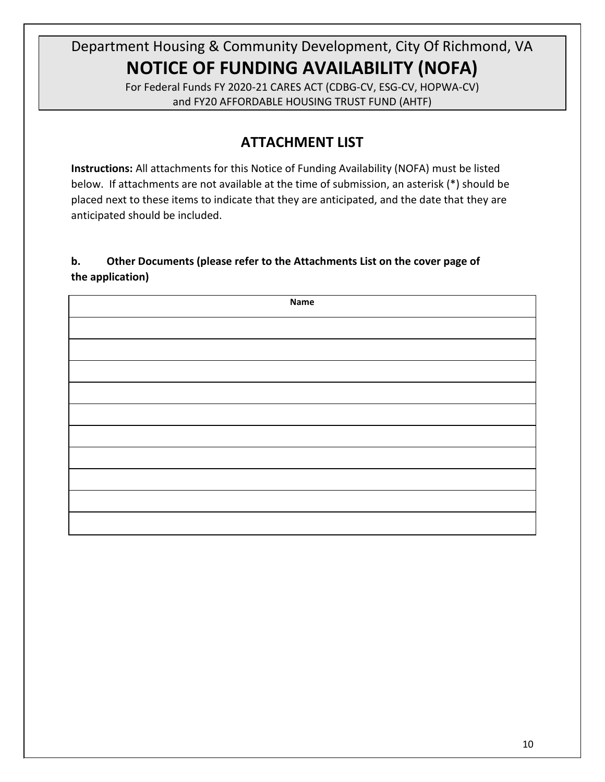For Federal Funds FY 2020-21 CARES ACT (CDBG-CV, ESG-CV, HOPWA-CV) and FY20 AFFORDABLE HOUSING TRUST FUND (AHTF)

## **ATTACHMENT LIST**

**Instructions:** All attachments for this Notice of Funding Availability (NOFA) must be listed below. If attachments are not available at the time of submission, an asterisk (\*) should be placed next to these items to indicate that they are anticipated, and the date that they are anticipated should be included.

### **b. Other Documents (please refer to the Attachments List on the cover page of the application)**

| <b>Name</b> |
|-------------|
|             |
|             |
|             |
|             |
|             |
|             |
|             |
|             |
|             |
|             |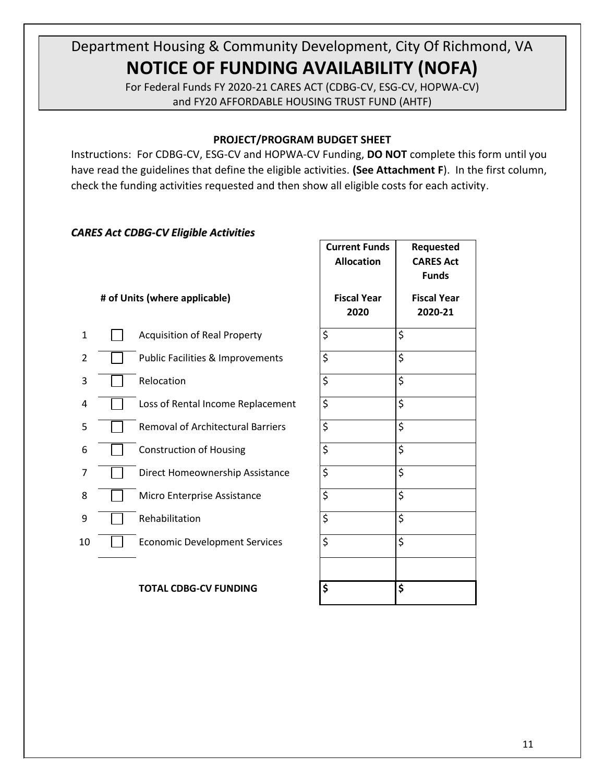For Federal Funds FY 2020-21 CARES ACT (CDBG-CV, ESG-CV, HOPWA-CV) and FY20 AFFORDABLE HOUSING TRUST FUND (AHTF)

#### **PROJECT/PROGRAM BUDGET SHEET**

Instructions: For CDBG-CV, ESG-CV and HOPWA-CV Funding, **DO NOT** complete this form until you have read the guidelines that define the eligible activities. **(See Attachment F**). In the first column, check the funding activities requested and then show all eligible costs for each activity.

#### *CARES Act CDBG-CV Eligible Activities*

|    |                                             | <b>Current Funds</b><br><b>Allocation</b> | Requested<br><b>CARES Act</b><br><b>Funds</b> |
|----|---------------------------------------------|-------------------------------------------|-----------------------------------------------|
|    | # of Units (where applicable)               | <b>Fiscal Year</b><br>2020                | <b>Fiscal Year</b><br>2020-21                 |
| 1  | <b>Acquisition of Real Property</b>         | \$                                        | \$                                            |
| 2  | <b>Public Facilities &amp; Improvements</b> | \$                                        | \$                                            |
| 3  | Relocation                                  | \$                                        | \$                                            |
| 4  | Loss of Rental Income Replacement           | \$                                        | \$                                            |
| 5  | <b>Removal of Architectural Barriers</b>    | \$                                        | \$                                            |
| 6  | <b>Construction of Housing</b>              | \$                                        | \$                                            |
| 7  | Direct Homeownership Assistance             | \$                                        | \$                                            |
| 8  | Micro Enterprise Assistance                 | \$                                        | \$                                            |
| 9  | Rehabilitation                              | \$                                        | \$                                            |
| 10 | <b>Economic Development Services</b>        | \$                                        | \$                                            |
|    |                                             |                                           |                                               |

#### **TOTAL CDBG-CV FUNDING \$ \$**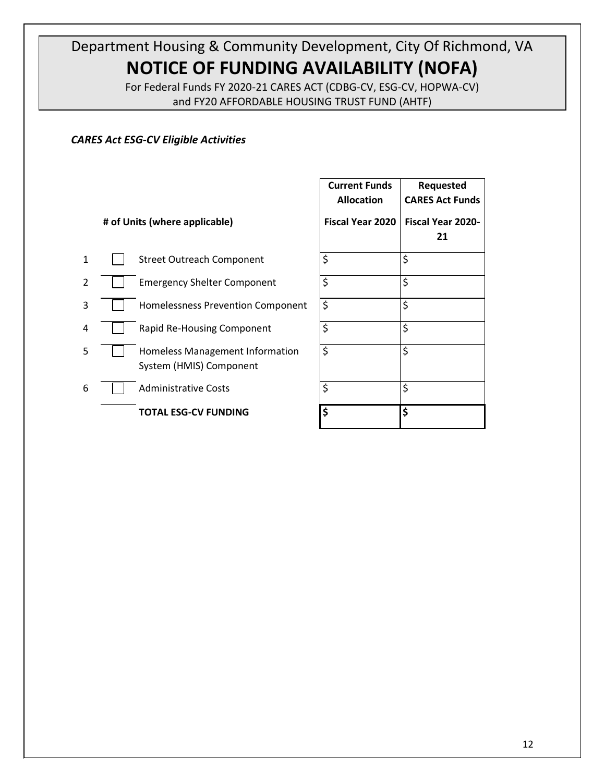For Federal Funds FY 2020-21 CARES ACT (CDBG-CV, ESG-CV, HOPWA-CV) and FY20 AFFORDABLE HOUSING TRUST FUND (AHTF)

### *CARES Act ESG-CV Eligible Activities*

|                |                                                            | <b>Current Funds</b><br><b>Allocation</b> | <b>Requested</b><br><b>CARES Act Funds</b> |
|----------------|------------------------------------------------------------|-------------------------------------------|--------------------------------------------|
|                | # of Units (where applicable)                              | <b>Fiscal Year 2020</b>                   | <b>Fiscal Year 2020-</b><br>21             |
| $\mathbf{1}$   | <b>Street Outreach Component</b>                           | \$                                        | \$                                         |
| $\overline{2}$ | <b>Emergency Shelter Component</b>                         | \$                                        | \$                                         |
| 3              | Homelessness Prevention Component                          | \$                                        | \$                                         |
| 4              | Rapid Re-Housing Component                                 | \$                                        | \$                                         |
| 5              | Homeless Management Information<br>System (HMIS) Component | \$                                        | \$                                         |
| 6              | <b>Administrative Costs</b>                                | \$                                        | \$                                         |
|                | <b>TOTAL ESG-CV FUNDING</b>                                | \$                                        | \$                                         |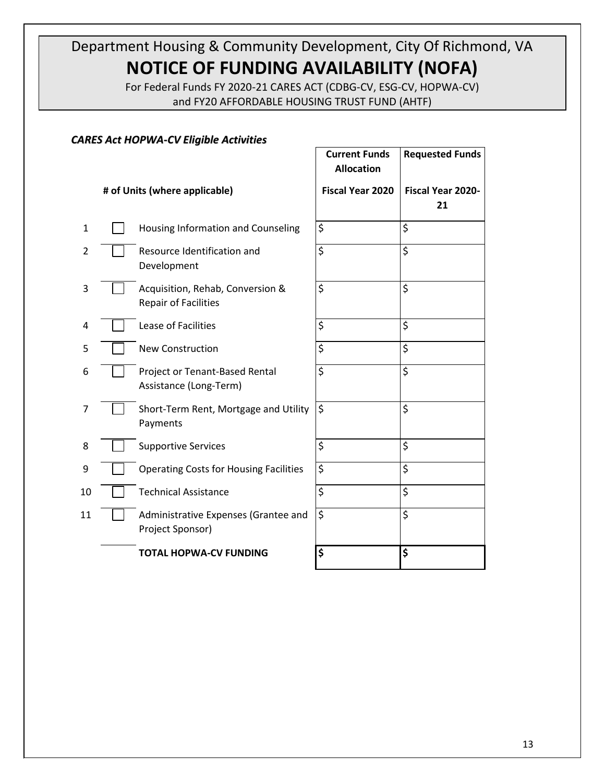For Federal Funds FY 2020-21 CARES ACT (CDBG-CV, ESG-CV, HOPWA-CV) and FY20 AFFORDABLE HOUSING TRUST FUND (AHTF)

#### *CARES Act HOPWA-CV Eligible Activities*

|    |                                                                 | <b>Current Funds</b><br><b>Allocation</b> | <b>Requested Funds</b>         |
|----|-----------------------------------------------------------------|-------------------------------------------|--------------------------------|
|    | # of Units (where applicable)                                   | <b>Fiscal Year 2020</b>                   | <b>Fiscal Year 2020-</b><br>21 |
| 1  | Housing Information and Counseling                              | \$                                        | \$                             |
| 2  | Resource Identification and<br>Development                      | $\overline{\boldsymbol{\varsigma}}$       | \$                             |
| 3  | Acquisition, Rehab, Conversion &<br><b>Repair of Facilities</b> | \$                                        | \$                             |
| 4  | Lease of Facilities                                             | \$                                        | \$                             |
| 5  | <b>New Construction</b>                                         | \$                                        | \$                             |
| 6  | Project or Tenant-Based Rental<br>Assistance (Long-Term)        | \$                                        | \$                             |
| 7  | Short-Term Rent, Mortgage and Utility<br>Payments               | \$                                        | \$                             |
| 8  | <b>Supportive Services</b>                                      | \$                                        | \$                             |
| 9  | <b>Operating Costs for Housing Facilities</b>                   | \$                                        | \$                             |
| 10 | <b>Technical Assistance</b>                                     | \$                                        | \$                             |
| 11 | Administrative Expenses (Grantee and<br>Project Sponsor)        | $\boldsymbol{\zeta}$                      | \$                             |
|    | <b>TOTAL HOPWA-CV FUNDING</b>                                   | \$                                        | \$                             |